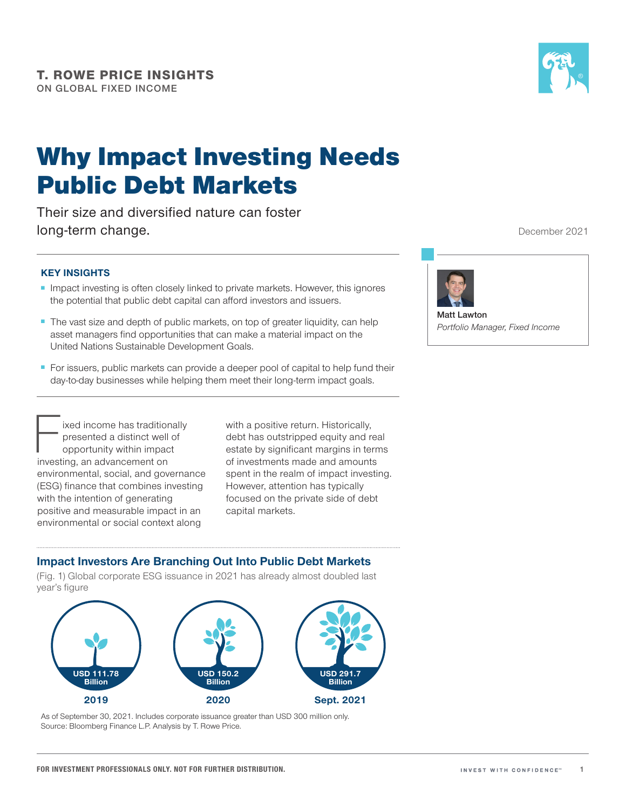

# Why Impact Investing Needs Public Debt Markets

Their size and diversified nature can foster long-term change.

### **KEY INSIGHTS**

- Impact investing is often closely linked to private markets. However, this ignores the potential that public debt capital can afford investors and issuers.
- The vast size and depth of public markets, on top of greater liquidity, can help asset managers find opportunities that can make a material impact on the United Nations Sustainable Development Goals.
- For issuers, public markets can provide a deeper pool of capital to help fund their day-to-day businesses while helping them meet their long-term impact goals.

Fixed income has traditionally<br>presented a distinct well of<br>opportunity within impact<br>investing an advancement on presented a distinct well of opportunity within impact investing, an advancement on environmental, social, and governance (ESG) finance that combines investing with the intention of generating positive and measurable impact in an environmental or social context along

with a positive return. Historically, debt has outstripped equity and real estate by significant margins in terms of investments made and amounts spent in the realm of impact investing. However, attention has typically focused on the private side of debt capital markets.

### **Impact Investors Are Branching Out Into Public Debt Markets**

(Fig. 1) Global corporate ESG issuance in 2021 has already almost doubled last year's figure



As of September 30, 2021. Includes corporate issuance greater than USD 300 million only. Source: Bloomberg Finance L.P. Analysis by T. Rowe Price.

December 2021



**Matt Lawton** *Portfolio Manager, Fixed Income*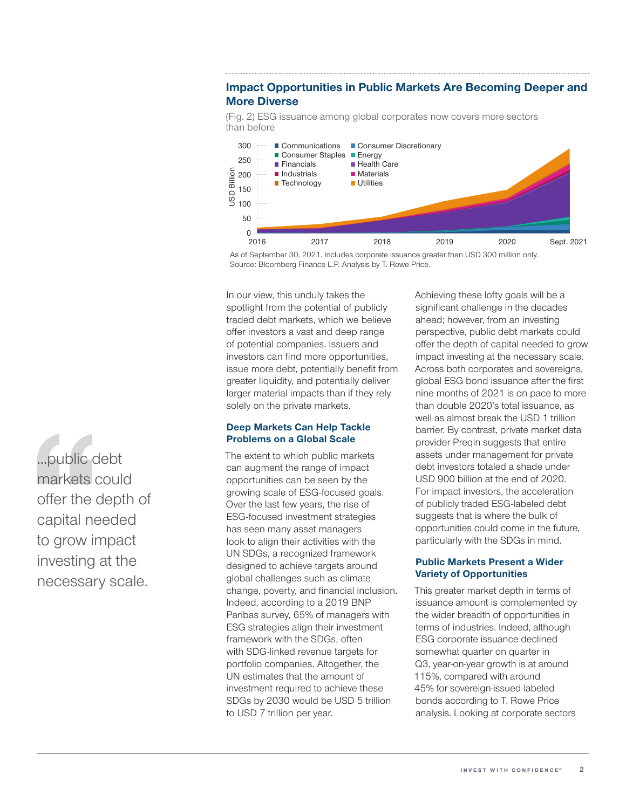## **Impact Opportunities in Public Markets Are Becoming Deeper and More Diverse**

(Fig. 2) ESG issuance among global corporates now covers more sectors than before



As of September 30, 2021. Includes corporate issuance greater than USD 300 million only. Source: Bloomberg Finance L.P. Analysis by T. Rowe Price.

In our view, this unduly takes the spotlight from the potential of publicly traded debt markets, which we believe offer investors a vast and deep range of potential companies. Issuers and investors can find more opportunities, issue more debt, potentially benefit from greater liquidity, and potentially deliver larger material impacts than if they rely solely on the private markets.

#### **Deep Markets Can Help Tackle Problems on a Global Scale**

The extent to which public markets can augment the range of impact opportunities can be seen by the growing scale of ESG‑focused goals. Over the last few years, the rise of ESG‑focused investment strategies has seen many asset managers look to align their activities with the UN SDGs, a recognized framework designed to achieve targets around global challenges such as climate change, poverty, and financial inclusion. Indeed, according to a 2019 BNP Paribas survey, 65% of managers with ESG strategies align their investment framework with the SDGs, often with SDG‑linked revenue targets for portfolio companies. Altogether, the UN estimates that the amount of investment required to achieve these SDGs by 2030 would be USD 5 trillion to USD 7 trillion per year.

Achieving these lofty goals will be a significant challenge in the decades ahead; however, from an investing perspective, public debt markets could offer the depth of capital needed to grow impact investing at the necessary scale. Across both corporates and sovereigns, global ESG bond issuance after the first nine months of 2021 is on pace to more than double 2020's total issuance, as well as almost break the USD 1 trillion barrier. By contrast, private market data provider Preqin suggests that entire assets under management for private debt investors totaled a shade under USD 900 billion at the end of 2020. For impact investors, the acceleration of publicly traded ESG‑labeled debt suggests that is where the bulk of opportunities could come in the future, particularly with the SDGs in mind.

#### **Public Markets Present a Wider Variety of Opportunities**

This greater market depth in terms of issuance amount is complemented by the wider breadth of opportunities in terms of industries. Indeed, although ESG corporate issuance declined somewhat quarter on quarter in Q3, year-on-year growth is at around 115%, compared with around 45% for sovereign‑issued labeled bonds according to T. Rowe Price analysis. Looking at corporate sectors

...public debt markets could offer the depth of capital needed to grow impact investing at the necessary scale.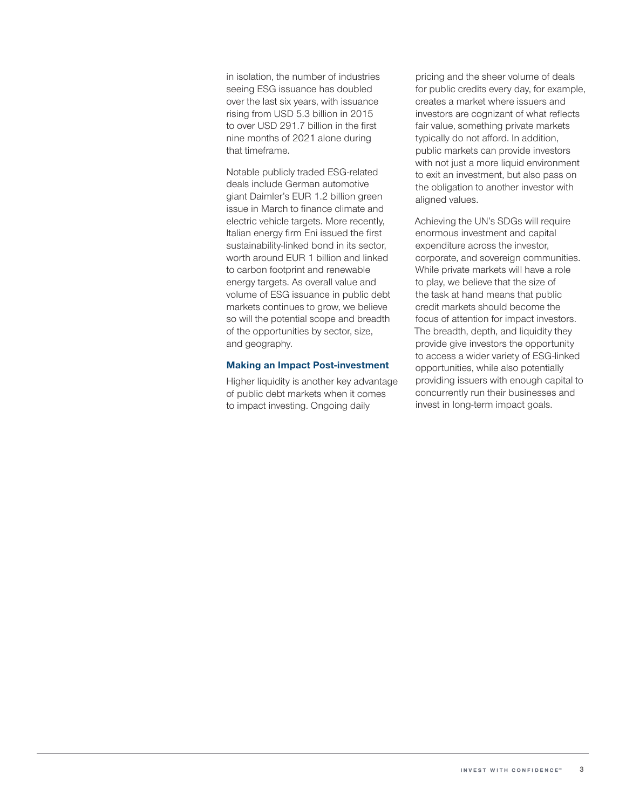in isolation, the number of industries seeing ESG issuance has doubled over the last six years, with issuance rising from USD 5.3 billion in 2015 to over USD 291.7 billion in the first nine months of 2021 alone during that timeframe.

Notable publicly traded ESG‑related deals include German automotive giant Daimler's EUR 1.2 billion green issue in March to finance climate and electric vehicle targets. More recently, Italian energy firm Eni issued the first sustainability-linked bond in its sector, worth around EUR 1 billion and linked to carbon footprint and renewable energy targets. As overall value and volume of ESG issuance in public debt markets continues to grow, we believe so will the potential scope and breadth of the opportunities by sector, size, and geography.

#### **Making an Impact Post‑investment**

Higher liquidity is another key advantage of public debt markets when it comes to impact investing. Ongoing daily

pricing and the sheer volume of deals for public credits every day, for example, creates a market where issuers and investors are cognizant of what reflects fair value, something private markets typically do not afford. In addition, public markets can provide investors with not just a more liquid environment to exit an investment, but also pass on the obligation to another investor with aligned values.

Achieving the UN's SDGs will require enormous investment and capital expenditure across the investor, corporate, and sovereign communities. While private markets will have a role to play, we believe that the size of the task at hand means that public credit markets should become the focus of attention for impact investors. The breadth, depth, and liquidity they provide give investors the opportunity to access a wider variety of ESG‑linked opportunities, while also potentially providing issuers with enough capital to concurrently run their businesses and invest in long-term impact goals.